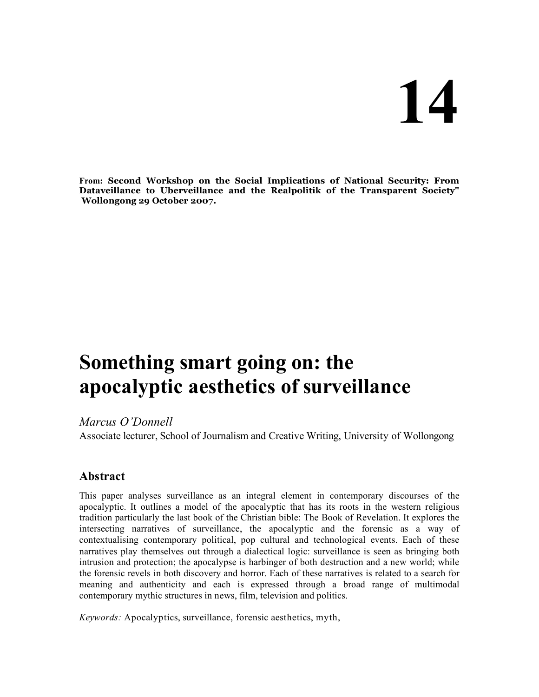# **14**

**From: Second Workshop on the Social Implications of National Security: From Dataveillance to Uberveillance and the Realpolitik of the Transparent Society" Wollongong 29 October 2007.**

# **Something smart going on: the apocalyptic aesthetics of surveillance**

# *Marcus O'Donnell*

Associate lecturer, School of Journalism and Creative Writing, University of Wollongong

# **Abstract**

This paper analyses surveillance as an integral element in contemporary discourses of the apocalyptic. It outlines a model of the apocalyptic that has its roots in the western religious tradition particularly the last book of the Christian bible: The Book of Revelation. It explores the intersecting narratives of surveillance, the apocalyptic and the forensic as a way of contextualising contemporary political, pop cultural and technological events. Each of these narratives play themselves out through a dialectical logic: surveillance is seen as bringing both intrusion and protection; the apocalypse is harbinger of both destruction and a new world; while the forensic revels in both discovery and horror. Each of these narratives is related to a search for meaning and authenticity and each is expressed through a broad range of multimodal contemporary mythic structures in news, film, television and politics.

*Keywords:* Apocalyptics, surveillance, forensic aesthetics, myth,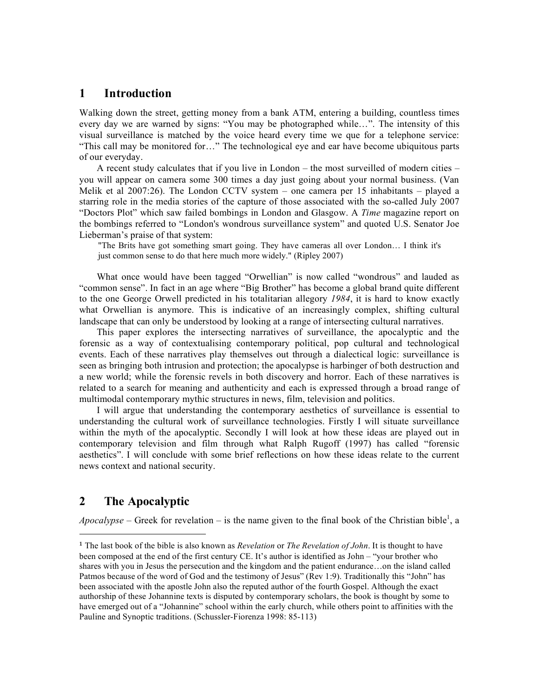## **1 Introduction**

Walking down the street, getting money from a bank ATM, entering a building, countless times every day we are warned by signs: "You may be photographed while…". The intensity of this visual surveillance is matched by the voice heard every time we que for a telephone service: "This call may be monitored for…" The technological eye and ear have become ubiquitous parts of our everyday.

A recent study calculates that if you live in London – the most surveilled of modern cities – you will appear on camera some 300 times a day just going about your normal business. (Van Melik et al 2007:26). The London CCTV system – one camera per 15 inhabitants – played a starring role in the media stories of the capture of those associated with the so-called July 2007 "Doctors Plot" which saw failed bombings in London and Glasgow. A *Time* magazine report on the bombings referred to "London's wondrous surveillance system" and quoted U.S. Senator Joe Lieberman's praise of that system:

"The Brits have got something smart going. They have cameras all over London… I think it's just common sense to do that here much more widely." (Ripley 2007)

What once would have been tagged "Orwellian" is now called "wondrous" and lauded as "common sense". In fact in an age where "Big Brother" has become a global brand quite different to the one George Orwell predicted in his totalitarian allegory *1984*, it is hard to know exactly what Orwellian is anymore. This is indicative of an increasingly complex, shifting cultural landscape that can only be understood by looking at a range of intersecting cultural narratives.

This paper explores the intersecting narratives of surveillance, the apocalyptic and the forensic as a way of contextualising contemporary political, pop cultural and technological events. Each of these narratives play themselves out through a dialectical logic: surveillance is seen as bringing both intrusion and protection; the apocalypse is harbinger of both destruction and a new world; while the forensic revels in both discovery and horror. Each of these narratives is related to a search for meaning and authenticity and each is expressed through a broad range of multimodal contemporary mythic structures in news, film, television and politics.

I will argue that understanding the contemporary aesthetics of surveillance is essential to understanding the cultural work of surveillance technologies. Firstly I will situate surveillance within the myth of the apocalyptic. Secondly I will look at how these ideas are played out in contemporary television and film through what Ralph Rugoff (1997) has called "forensic aesthetics". I will conclude with some brief reflections on how these ideas relate to the current news context and national security.

## **2 The Apocalyptic**

l

Apocalypse – Greek for revelation – is the name given to the final book of the Christian bible<sup>1</sup>, a

<sup>1</sup> The last book of the bible is also known as *Revelation* or *The Revelation of John*. It is thought to have been composed at the end of the first century CE. It's author is identified as John – "your brother who shares with you in Jesus the persecution and the kingdom and the patient endurance…on the island called Patmos because of the word of God and the testimony of Jesus" (Rev 1:9). Traditionally this "John" has been associated with the apostle John also the reputed author of the fourth Gospel. Although the exact authorship of these Johannine texts is disputed by contemporary scholars, the book is thought by some to have emerged out of a "Johannine" school within the early church, while others point to affinities with the Pauline and Synoptic traditions. (Schussler-Fiorenza 1998: 85-113)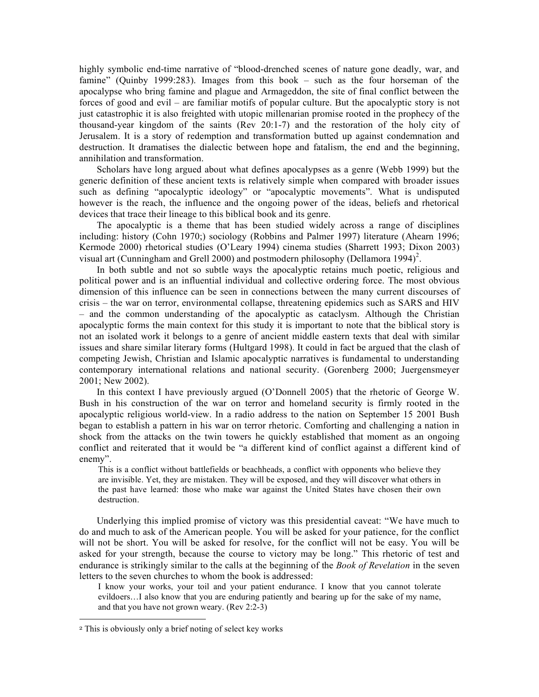highly symbolic end-time narrative of "blood-drenched scenes of nature gone deadly, war, and famine" (Quinby 1999:283). Images from this book – such as the four horseman of the apocalypse who bring famine and plague and Armageddon, the site of final conflict between the forces of good and evil – are familiar motifs of popular culture. But the apocalyptic story is not just catastrophic it is also freighted with utopic millenarian promise rooted in the prophecy of the thousand-year kingdom of the saints (Rev 20:1-7) and the restoration of the holy city of Jerusalem. It is a story of redemption and transformation butted up against condemnation and destruction. It dramatises the dialectic between hope and fatalism, the end and the beginning, annihilation and transformation.

Scholars have long argued about what defines apocalypses as a genre (Webb 1999) but the generic definition of these ancient texts is relatively simple when compared with broader issues such as defining "apocalyptic ideology" or "apocalyptic movements". What is undisputed however is the reach, the influence and the ongoing power of the ideas, beliefs and rhetorical devices that trace their lineage to this biblical book and its genre.

The apocalyptic is a theme that has been studied widely across a range of disciplines including: history (Cohn 1970;) sociology (Robbins and Palmer 1997) literature (Ahearn 1996; Kermode 2000) rhetorical studies (O'Leary 1994) cinema studies (Sharrett 1993; Dixon 2003) visual art (Cunningham and Grell 2000) and postmodern philosophy (Dellamora 1994)<sup>2</sup>.

In both subtle and not so subtle ways the apocalyptic retains much poetic, religious and political power and is an influential individual and collective ordering force. The most obvious dimension of this influence can be seen in connections between the many current discourses of crisis – the war on terror, environmental collapse, threatening epidemics such as SARS and HIV – and the common understanding of the apocalyptic as cataclysm. Although the Christian apocalyptic forms the main context for this study it is important to note that the biblical story is not an isolated work it belongs to a genre of ancient middle eastern texts that deal with similar issues and share similar literary forms (Hultgard 1998). It could in fact be argued that the clash of competing Jewish, Christian and Islamic apocalyptic narratives is fundamental to understanding contemporary international relations and national security. (Gorenberg 2000; Juergensmeyer 2001; New 2002).

In this context I have previously argued (O'Donnell 2005) that the rhetoric of George W. Bush in his construction of the war on terror and homeland security is firmly rooted in the apocalyptic religious world-view. In a radio address to the nation on September 15 2001 Bush began to establish a pattern in his war on terror rhetoric. Comforting and challenging a nation in shock from the attacks on the twin towers he quickly established that moment as an ongoing conflict and reiterated that it would be "a different kind of conflict against a different kind of enemy".

This is a conflict without battlefields or beachheads, a conflict with opponents who believe they are invisible. Yet, they are mistaken. They will be exposed, and they will discover what others in the past have learned: those who make war against the United States have chosen their own destruction.

Underlying this implied promise of victory was this presidential caveat: "We have much to do and much to ask of the American people. You will be asked for your patience, for the conflict will not be short. You will be asked for resolve, for the conflict will not be easy. You will be asked for your strength, because the course to victory may be long." This rhetoric of test and endurance is strikingly similar to the calls at the beginning of the *Book of Revelation* in the seven letters to the seven churches to whom the book is addressed:

I know your works, your toil and your patient endurance. I know that you cannot tolerate evildoers…I also know that you are enduring patiently and bearing up for the sake of my name, and that you have not grown weary. (Rev 2:2-3)

l

<sup>2</sup> This is obviously only a brief noting of select key works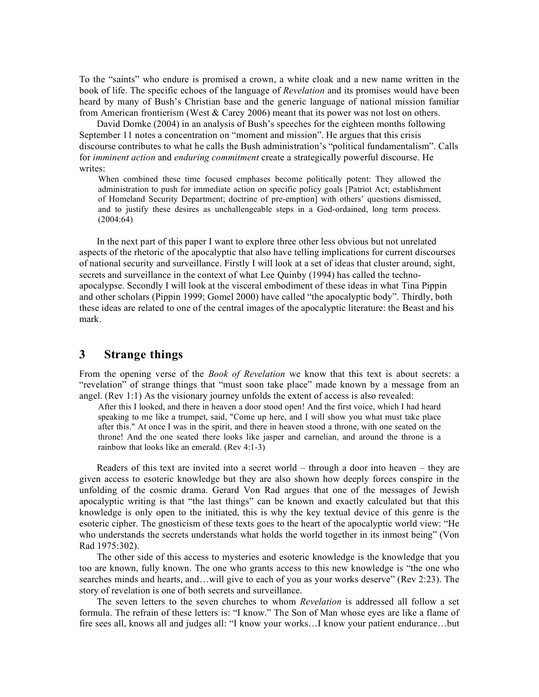To the "saints" who endure is promised a crown, a white cloak and a new name written in the book of life. The specific echoes of the language of *Revelation* and its promises would have been heard by many of Bush's Christian base and the generic language of national mission familiar from American frontierism (West & Carey 2006) meant that its power was not lost on others.

David Domke (2004) in an analysis of Bush's speeches for the eighteen months following September 11 notes a concentration on "moment and mission". He argues that this crisis discourse contributes to what he calls the Bush administration's "political fundamentalism". Calls for *imminent action* and *enduring commitment* create a strategically powerful discourse. He writes:

When combined these time focused emphases become politically potent: They allowed the administration to push for immediate action on specific policy goals [Patriot Act; establishment of Homeland Security Department; doctrine of pre-emption] with others' questions dismissed, and to justify these desires as unchallengeable steps in a God-ordained, long term process. (2004:64)

In the next part of this paper I want to explore three other less obvious but not unrelated aspects of the rhetoric of the apocalyptic that also have telling implications for current discourses of national security and surveillance. Firstly I will look at a set of ideas that cluster around, sight, secrets and surveillance in the context of what Lee Quinby (1994) has called the technoapocalypse. Secondly I will look at the visceral embodiment of these ideas in what Tina Pippin and other scholars (Pippin 1999; Gomel 2000) have called "the apocalyptic body". Thirdly, both these ideas are related to one of the central images of the apocalyptic literature: the Beast and his mark.

# **3 Strange things**

From the opening verse of the *Book of Revelation* we know that this text is about secrets: a "revelation" of strange things that "must soon take place" made known by a message from an angel. (Rev 1:1) As the visionary journey unfolds the extent of access is also revealed:

After this I looked, and there in heaven a door stood open! And the first voice, which I had heard speaking to me like a trumpet, said, "Come up here, and I will show you what must take place after this." At once I was in the spirit, and there in heaven stood a throne, with one seated on the throne! And the one seated there looks like jasper and carnelian, and around the throne is a rainbow that looks like an emerald. (Rev 4:1-3)

Readers of this text are invited into a secret world – through a door into heaven – they are given access to esoteric knowledge but they are also shown how deeply forces conspire in the unfolding of the cosmic drama. Gerard Von Rad argues that one of the messages of Jewish apocalyptic writing is that "the last things" can be known and exactly calculated but that this knowledge is only open to the initiated, this is why the key textual device of this genre is the esoteric cipher. The gnosticism of these texts goes to the heart of the apocalyptic world view: "He who understands the secrets understands what holds the world together in its inmost being" (Von Rad 1975:302).

The other side of this access to mysteries and esoteric knowledge is the knowledge that you too are known, fully known. The one who grants access to this new knowledge is "the one who searches minds and hearts, and…will give to each of you as your works deserve" (Rev 2:23). The story of revelation is one of both secrets and surveillance.

The seven letters to the seven churches to whom *Revelation* is addressed all follow a set formula. The refrain of these letters is: "I know." The Son of Man whose eyes are like a flame of fire sees all, knows all and judges all: "I know your works…I know your patient endurance…but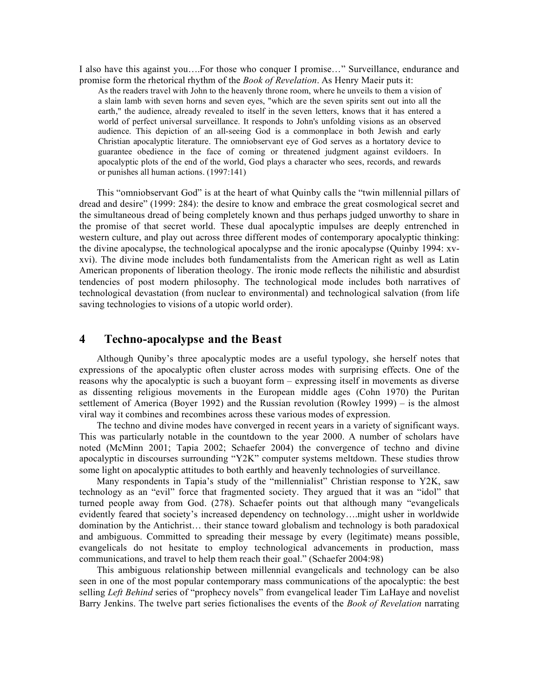I also have this against you….For those who conquer I promise…" Surveillance, endurance and promise form the rhetorical rhythm of the *Book of Revelation*. As Henry Maeir puts it:

As the readers travel with John to the heavenly throne room, where he unveils to them a vision of a slain lamb with seven horns and seven eyes, "which are the seven spirits sent out into all the earth," the audience, already revealed to itself in the seven letters, knows that it has entered a world of perfect universal surveillance. It responds to John's unfolding visions as an observed audience. This depiction of an all-seeing God is a commonplace in both Jewish and early Christian apocalyptic literature. The omniobservant eye of God serves as a hortatory device to guarantee obedience in the face of coming or threatened judgment against evildoers. In apocalyptic plots of the end of the world, God plays a character who sees, records, and rewards or punishes all human actions. (1997:141)

This "omniobservant God" is at the heart of what Quinby calls the "twin millennial pillars of dread and desire" (1999: 284): the desire to know and embrace the great cosmological secret and the simultaneous dread of being completely known and thus perhaps judged unworthy to share in the promise of that secret world. These dual apocalyptic impulses are deeply entrenched in western culture, and play out across three different modes of contemporary apocalyptic thinking: the divine apocalypse, the technological apocalypse and the ironic apocalypse (Quinby 1994: xvxvi). The divine mode includes both fundamentalists from the American right as well as Latin American proponents of liberation theology. The ironic mode reflects the nihilistic and absurdist tendencies of post modern philosophy. The technological mode includes both narratives of technological devastation (from nuclear to environmental) and technological salvation (from life saving technologies to visions of a utopic world order).

### **4 Techno-apocalypse and the Beast**

Although Quniby's three apocalyptic modes are a useful typology, she herself notes that expressions of the apocalyptic often cluster across modes with surprising effects. One of the reasons why the apocalyptic is such a buoyant form – expressing itself in movements as diverse as dissenting religious movements in the European middle ages (Cohn 1970) the Puritan settlement of America (Boyer 1992) and the Russian revolution (Rowley 1999) – is the almost viral way it combines and recombines across these various modes of expression.

The techno and divine modes have converged in recent years in a variety of significant ways. This was particularly notable in the countdown to the year 2000. A number of scholars have noted (McMinn 2001; Tapia 2002; Schaefer 2004) the convergence of techno and divine apocalyptic in discourses surrounding "Y2K" computer systems meltdown. These studies throw some light on apocalyptic attitudes to both earthly and heavenly technologies of surveillance.

Many respondents in Tapia's study of the "millennialist" Christian response to Y2K, saw technology as an "evil" force that fragmented society. They argued that it was an "idol" that turned people away from God. (278). Schaefer points out that although many "evangelicals evidently feared that society's increased dependency on technology….might usher in worldwide domination by the Antichrist… their stance toward globalism and technology is both paradoxical and ambiguous. Committed to spreading their message by every (legitimate) means possible, evangelicals do not hesitate to employ technological advancements in production, mass communications, and travel to help them reach their goal." (Schaefer 2004:98)

This ambiguous relationship between millennial evangelicals and technology can be also seen in one of the most popular contemporary mass communications of the apocalyptic: the best selling *Left Behind* series of "prophecy novels" from evangelical leader Tim LaHaye and novelist Barry Jenkins. The twelve part series fictionalises the events of the *Book of Revelation* narrating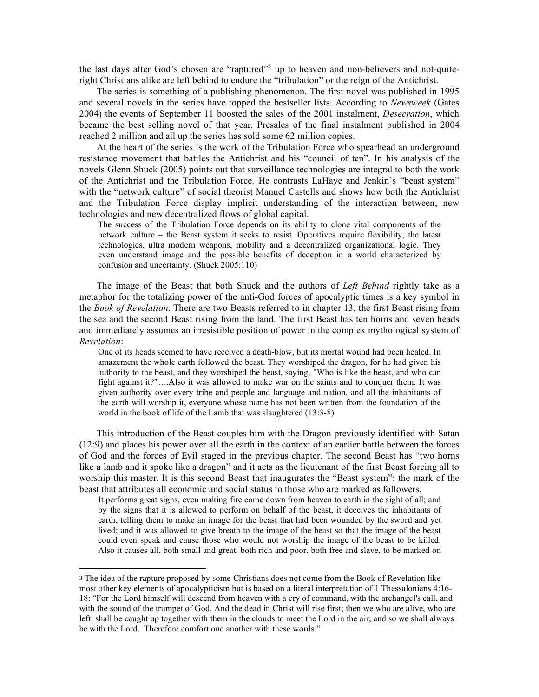the last days after God's chosen are "raptured"<sup>3</sup> up to heaven and non-believers and not-quiteright Christians alike are left behind to endure the "tribulation" or the reign of the Antichrist.

The series is something of a publishing phenomenon. The first novel was published in 1995 and several novels in the series have topped the bestseller lists. According to *Newsweek* (Gates 2004) the events of September 11 boosted the sales of the 2001 instalment, *Desecration*, which became the best selling novel of that year. Presales of the final instalment published in 2004 reached 2 million and all up the series has sold some 62 million copies.

At the heart of the series is the work of the Tribulation Force who spearhead an underground resistance movement that battles the Antichrist and his "council of ten". In his analysis of the novels Glenn Shuck (2005) points out that surveillance technologies are integral to both the work of the Antichrist and the Tribulation Force. He contrasts LaHaye and Jenkin's "beast system" with the "network culture" of social theorist Manuel Castells and shows how both the Antichrist and the Tribulation Force display implicit understanding of the interaction between, new technologies and new decentralized flows of global capital.

The success of the Tribulation Force depends on its ability to clone vital components of the network culture – the Beast system it seeks to resist. Operatives require flexibility, the latest technologies, ultra modern weapons, mobility and a decentralized organizational logic. They even understand image and the possible benefits of deception in a world characterized by confusion and uncertainty. (Shuck 2005:110)

The image of the Beast that both Shuck and the authors of *Left Behind* rightly take as a metaphor for the totalizing power of the anti-God forces of apocalyptic times is a key symbol in the *Book of Revelation*. There are two Beasts referred to in chapter 13, the first Beast rising from the sea and the second Beast rising from the land. The first Beast has ten horns and seven heads and immediately assumes an irresistible position of power in the complex mythological system of *Revelation*:

One of its heads seemed to have received a death-blow, but its mortal wound had been healed. In amazement the whole earth followed the beast. They worshiped the dragon, for he had given his authority to the beast, and they worshiped the beast, saying, "Who is like the beast, and who can fight against it?"….Also it was allowed to make war on the saints and to conquer them. It was given authority over every tribe and people and language and nation, and all the inhabitants of the earth will worship it, everyone whose name has not been written from the foundation of the world in the book of life of the Lamb that was slaughtered (13:3-8)

This introduction of the Beast couples him with the Dragon previously identified with Satan (12:9) and places his power over all the earth in the context of an earlier battle between the forces of God and the forces of Evil staged in the previous chapter. The second Beast has "two horns like a lamb and it spoke like a dragon" and it acts as the lieutenant of the first Beast forcing all to worship this master. It is this second Beast that inaugurates the "Beast system": the mark of the beast that attributes all economic and social status to those who are marked as followers.

It performs great signs, even making fire come down from heaven to earth in the sight of all; and by the signs that it is allowed to perform on behalf of the beast, it deceives the inhabitants of earth, telling them to make an image for the beast that had been wounded by the sword and yet lived; and it was allowed to give breath to the image of the beast so that the image of the beast could even speak and cause those who would not worship the image of the beast to be killed. Also it causes all, both small and great, both rich and poor, both free and slave, to be marked on

l

<sup>3</sup> The idea of the rapture proposed by some Christians does not come from the Book of Revelation like most other key elements of apocalypticism but is based on a literal interpretation of 1 Thessalonians 4:16- 18: "For the Lord himself will descend from heaven with a cry of command, with the archangel's call, and with the sound of the trumpet of God. And the dead in Christ will rise first; then we who are alive, who are left, shall be caught up together with them in the clouds to meet the Lord in the air; and so we shall always be with the Lord. Therefore comfort one another with these words."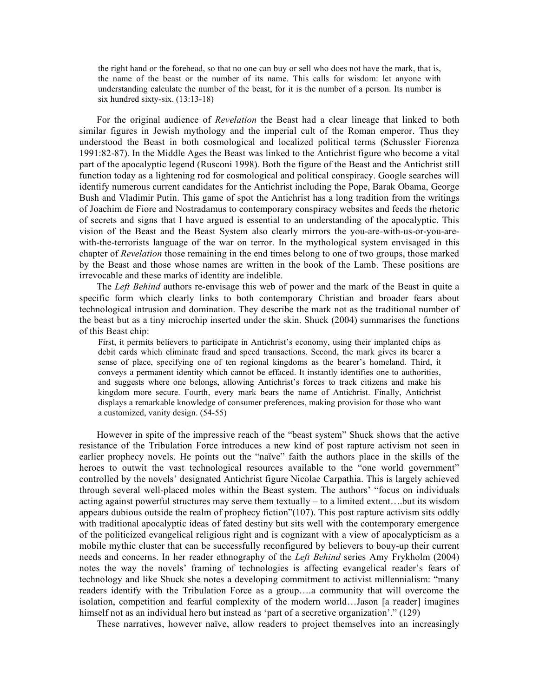the right hand or the forehead, so that no one can buy or sell who does not have the mark, that is, the name of the beast or the number of its name. This calls for wisdom: let anyone with understanding calculate the number of the beast, for it is the number of a person. Its number is six hundred sixty-six. (13:13-18)

For the original audience of *Revelation* the Beast had a clear lineage that linked to both similar figures in Jewish mythology and the imperial cult of the Roman emperor. Thus they understood the Beast in both cosmological and localized political terms (Schussler Fiorenza 1991:82-87). In the Middle Ages the Beast was linked to the Antichrist figure who become a vital part of the apocalyptic legend (Rusconi 1998). Both the figure of the Beast and the Antichrist still function today as a lightening rod for cosmological and political conspiracy. Google searches will identify numerous current candidates for the Antichrist including the Pope, Barak Obama, George Bush and Vladimir Putin. This game of spot the Antichrist has a long tradition from the writings of Joachim de Fiore and Nostradamus to contemporary conspiracy websites and feeds the rhetoric of secrets and signs that I have argued is essential to an understanding of the apocalyptic. This vision of the Beast and the Beast System also clearly mirrors the you-are-with-us-or-you-arewith-the-terrorists language of the war on terror. In the mythological system envisaged in this chapter of *Revelation* those remaining in the end times belong to one of two groups, those marked by the Beast and those whose names are written in the book of the Lamb. These positions are irrevocable and these marks of identity are indelible.

The *Left Behind* authors re-envisage this web of power and the mark of the Beast in quite a specific form which clearly links to both contemporary Christian and broader fears about technological intrusion and domination. They describe the mark not as the traditional number of the beast but as a tiny microchip inserted under the skin. Shuck (2004) summarises the functions of this Beast chip:

First, it permits believers to participate in Antichrist's economy, using their implanted chips as debit cards which eliminate fraud and speed transactions. Second, the mark gives its bearer a sense of place, specifying one of ten regional kingdoms as the bearer's homeland. Third, it conveys a permanent identity which cannot be effaced. It instantly identifies one to authorities, and suggests where one belongs, allowing Antichrist's forces to track citizens and make his kingdom more secure. Fourth, every mark bears the name of Antichrist. Finally, Antichrist displays a remarkable knowledge of consumer preferences, making provision for those who want a customized, vanity design. (54-55)

However in spite of the impressive reach of the "beast system" Shuck shows that the active resistance of the Tribulation Force introduces a new kind of post rapture activism not seen in earlier prophecy novels. He points out the "naïve" faith the authors place in the skills of the heroes to outwit the vast technological resources available to the "one world government" controlled by the novels' designated Antichrist figure Nicolae Carpathia. This is largely achieved through several well-placed moles within the Beast system. The authors' "focus on individuals acting against powerful structures may serve them textually – to a limited extent….but its wisdom appears dubious outside the realm of prophecy fiction"(107). This post rapture activism sits oddly with traditional apocalyptic ideas of fated destiny but sits well with the contemporary emergence of the politicized evangelical religious right and is cognizant with a view of apocalypticism as a mobile mythic cluster that can be successfully reconfigured by believers to bouy-up their current needs and concerns. In her reader ethnography of the *Left Behind* series Amy Frykholm (2004) notes the way the novels' framing of technologies is affecting evangelical reader's fears of technology and like Shuck she notes a developing commitment to activist millennialism: "many readers identify with the Tribulation Force as a group….a community that will overcome the isolation, competition and fearful complexity of the modern world…Jason [a reader] imagines himself not as an individual hero but instead as 'part of a secretive organization'." (129)

These narratives, however naïve, allow readers to project themselves into an increasingly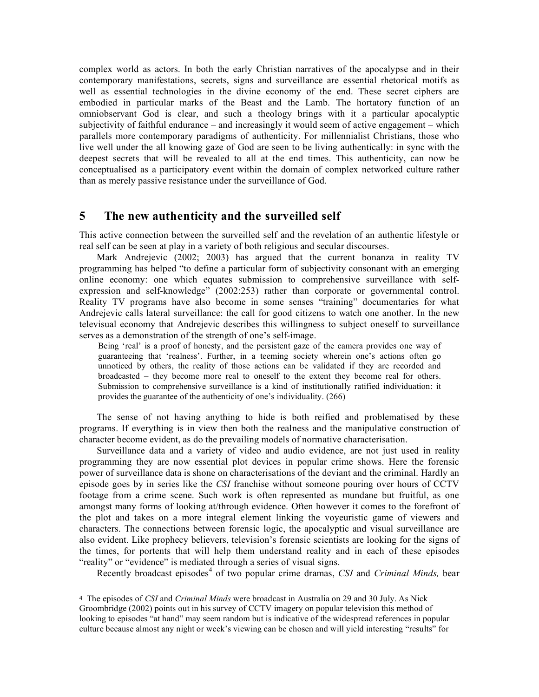complex world as actors. In both the early Christian narratives of the apocalypse and in their contemporary manifestations, secrets, signs and surveillance are essential rhetorical motifs as well as essential technologies in the divine economy of the end. These secret ciphers are embodied in particular marks of the Beast and the Lamb. The hortatory function of an omniobservant God is clear, and such a theology brings with it a particular apocalyptic subjectivity of faithful endurance – and increasingly it would seem of active engagement – which parallels more contemporary paradigms of authenticity. For millennialist Christians, those who live well under the all knowing gaze of God are seen to be living authentically: in sync with the deepest secrets that will be revealed to all at the end times. This authenticity, can now be conceptualised as a participatory event within the domain of complex networked culture rather than as merely passive resistance under the surveillance of God.

#### **5 The new authenticity and the surveilled self**

This active connection between the surveilled self and the revelation of an authentic lifestyle or real self can be seen at play in a variety of both religious and secular discourses.

Mark Andrejevic (2002; 2003) has argued that the current bonanza in reality TV programming has helped "to define a particular form of subjectivity consonant with an emerging online economy: one which equates submission to comprehensive surveillance with selfexpression and self-knowledge" (2002:253) rather than corporate or governmental control. Reality TV programs have also become in some senses "training" documentaries for what Andrejevic calls lateral surveillance: the call for good citizens to watch one another. In the new televisual economy that Andrejevic describes this willingness to subject oneself to surveillance serves as a demonstration of the strength of one's self-image.

Being 'real' is a proof of honesty, and the persistent gaze of the camera provides one way of guaranteeing that 'realness'. Further, in a teeming society wherein one's actions often go unnoticed by others, the reality of those actions can be validated if they are recorded and broadcasted – they become more real to oneself to the extent they become real for others. Submission to comprehensive surveillance is a kind of institutionally ratified individuation: it provides the guarantee of the authenticity of one's individuality. (266)

The sense of not having anything to hide is both reified and problematised by these programs. If everything is in view then both the realness and the manipulative construction of character become evident, as do the prevailing models of normative characterisation.

Surveillance data and a variety of video and audio evidence, are not just used in reality programming they are now essential plot devices in popular crime shows. Here the forensic power of surveillance data is shone on characterisations of the deviant and the criminal. Hardly an episode goes by in series like the *CSI* franchise without someone pouring over hours of CCTV footage from a crime scene. Such work is often represented as mundane but fruitful, as one amongst many forms of looking at/through evidence. Often however it comes to the forefront of the plot and takes on a more integral element linking the voyeuristic game of viewers and characters. The connections between forensic logic, the apocalyptic and visual surveillance are also evident. Like prophecy believers, television's forensic scientists are looking for the signs of the times, for portents that will help them understand reality and in each of these episodes "reality" or "evidence" is mediated through a series of visual signs.

Recently broadcast episodes 4 of two popular crime dramas, *CSI* and *Criminal Minds,* bear

 $\overline{a}$ 

<sup>4</sup> The episodes of *CSI* and *Criminal Minds* were broadcast in Australia on 29 and 30 July. As Nick Groombridge (2002) points out in his survey of CCTV imagery on popular television this method of looking to episodes "at hand" may seem random but is indicative of the widespread references in popular culture because almost any night or week's viewing can be chosen and will yield interesting "results" for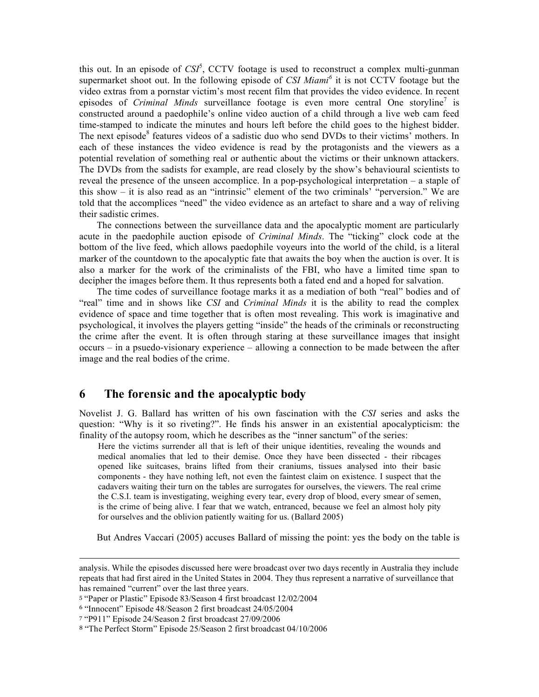this out. In an episode of *CSI* 5 , CCTV footage is used to reconstruct a complex multi-gunman supermarket shoot out. In the following episode of *CSI Miami <sup>6</sup>* it is not CCTV footage but the video extras from a pornstar victim's most recent film that provides the video evidence. In recent episodes of *Criminal Minds* surveillance footage is even more central One storyline<sup>7</sup> is constructed around a paedophile's online video auction of a child through a live web cam feed time-stamped to indicate the minutes and hours left before the child goes to the highest bidder. The next episode<sup>8</sup> features videos of a sadistic duo who send DVDs to their victims<sup>7</sup> mothers. In each of these instances the video evidence is read by the protagonists and the viewers as a potential revelation of something real or authentic about the victims or their unknown attackers. The DVDs from the sadists for example, are read closely by the show's behavioural scientists to reveal the presence of the unseen accomplice. In a pop-psychological interpretation – a staple of this show – it is also read as an "intrinsic" element of the two criminals' "perversion." We are told that the accomplices "need" the video evidence as an artefact to share and a way of reliving their sadistic crimes.

The connections between the surveillance data and the apocalyptic moment are particularly acute in the paedophile auction episode of *Criminal Minds*. The "ticking" clock code at the bottom of the live feed, which allows paedophile voyeurs into the world of the child, is a literal marker of the countdown to the apocalyptic fate that awaits the boy when the auction is over. It is also a marker for the work of the criminalists of the FBI, who have a limited time span to decipher the images before them. It thus represents both a fated end and a hoped for salvation.

The time codes of surveillance footage marks it as a mediation of both "real" bodies and of "real" time and in shows like *CSI* and *Criminal Minds* it is the ability to read the complex evidence of space and time together that is often most revealing. This work is imaginative and psychological, it involves the players getting "inside" the heads of the criminals or reconstructing the crime after the event. It is often through staring at these surveillance images that insight occurs – in a psuedo-visionary experience – allowing a connection to be made between the after image and the real bodies of the crime.

#### **6 The forensic and the apocalyptic body**

Novelist J. G. Ballard has written of his own fascination with the *CSI* series and asks the question: "Why is it so riveting?". He finds his answer in an existential apocalypticism: the finality of the autopsy room, which he describes as the "inner sanctum" of the series:

Here the victims surrender all that is left of their unique identities, revealing the wounds and medical anomalies that led to their demise. Once they have been dissected - their ribcages opened like suitcases, brains lifted from their craniums, tissues analysed into their basic components - they have nothing left, not even the faintest claim on existence. I suspect that the cadavers waiting their turn on the tables are surrogates for ourselves, the viewers. The real crime the C.S.I. team is investigating, weighing every tear, every drop of blood, every smear of semen, is the crime of being alive. I fear that we watch, entranced, because we feel an almost holy pity for ourselves and the oblivion patiently waiting for us. (Ballard 2005)

But Andres Vaccari (2005) accuses Ballard of missing the point: yes the body on the table is

 $\overline{a}$ 

analysis. While the episodes discussed here were broadcast over two days recently in Australia they include repeats that had first aired in the United States in 2004. They thus represent a narrative of surveillance that has remained "current" over the last three years.

<sup>5</sup> "Paper or Plastic" Episode 83/Season 4 first broadcast 12/02/2004

<sup>6</sup> "Innocent" Episode 48/Season 2 first broadcast 24/05/2004

<sup>7</sup> "P911" Episode 24/Season 2 first broadcast 27/09/2006

<sup>8</sup> "The Perfect Storm" Episode 25/Season 2 first broadcast 04/10/2006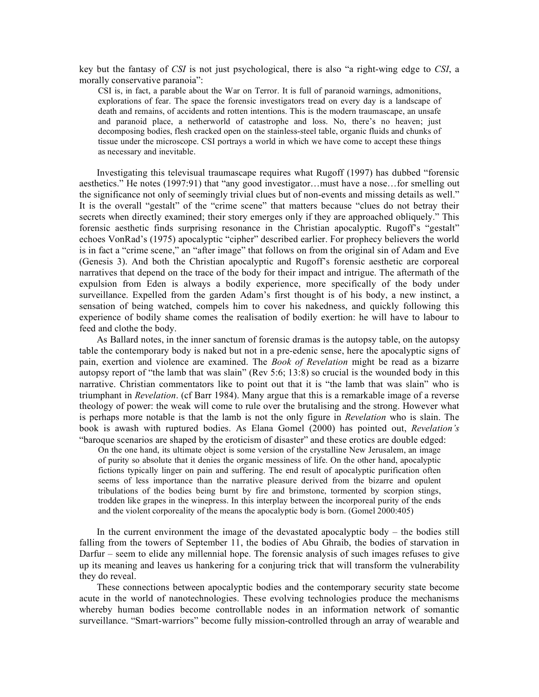key but the fantasy of *CSI* is not just psychological, there is also "a right-wing edge to *CSI*, a morally conservative paranoia":

CSI is, in fact, a parable about the War on Terror. It is full of paranoid warnings, admonitions, explorations of fear. The space the forensic investigators tread on every day is a landscape of death and remains, of accidents and rotten intentions. This is the modern traumascape, an unsafe and paranoid place, a netherworld of catastrophe and loss. No, there's no heaven; just decomposing bodies, flesh cracked open on the stainless-steel table, organic fluids and chunks of tissue under the microscope. CSI portrays a world in which we have come to accept these things as necessary and inevitable.

Investigating this televisual traumascape requires what Rugoff (1997) has dubbed "forensic aesthetics." He notes (1997:91) that "any good investigator…must have a nose…for smelling out the significance not only of seemingly trivial clues but of non-events and missing details as well." It is the overall "gestalt" of the "crime scene" that matters because "clues do not betray their secrets when directly examined; their story emerges only if they are approached obliquely." This forensic aesthetic finds surprising resonance in the Christian apocalyptic. Rugoff's "gestalt" echoes VonRad's (1975) apocalyptic "cipher" described earlier. For prophecy believers the world is in fact a "crime scene," an "after image" that follows on from the original sin of Adam and Eve (Genesis 3). And both the Christian apocalyptic and Rugoff's forensic aesthetic are corporeal narratives that depend on the trace of the body for their impact and intrigue. The aftermath of the expulsion from Eden is always a bodily experience, more specifically of the body under surveillance. Expelled from the garden Adam's first thought is of his body, a new instinct, a sensation of being watched, compels him to cover his nakedness, and quickly following this experience of bodily shame comes the realisation of bodily exertion: he will have to labour to feed and clothe the body.

As Ballard notes, in the inner sanctum of forensic dramas is the autopsy table, on the autopsy table the contemporary body is naked but not in a pre-edenic sense, here the apocalyptic signs of pain, exertion and violence are examined. The *Book of Revelation* might be read as a bizarre autopsy report of "the lamb that was slain" (Rev 5:6; 13:8) so crucial is the wounded body in this narrative. Christian commentators like to point out that it is "the lamb that was slain" who is triumphant in *Revelation*. (cf Barr 1984). Many argue that this is a remarkable image of a reverse theology of power: the weak will come to rule over the brutalising and the strong. However what is perhaps more notable is that the lamb is not the only figure in *Revelation* who is slain. The book is awash with ruptured bodies. As Elana Gomel (2000) has pointed out, *Revelation's* "baroque scenarios are shaped by the eroticism of disaster" and these erotics are double edged:

On the one hand, its ultimate object is some version of the crystalline New Jerusalem, an image of purity so absolute that it denies the organic messiness of life. On the other hand, apocalyptic fictions typically linger on pain and suffering. The end result of apocalyptic purification often seems of less importance than the narrative pleasure derived from the bizarre and opulent tribulations of the bodies being burnt by fire and brimstone, tormented by scorpion stings, trodden like grapes in the winepress. In this interplay between the incorporeal purity of the ends and the violent corporeality of the means the apocalyptic body is born. (Gomel 2000:405)

In the current environment the image of the devastated apocalyptic body – the bodies still falling from the towers of September 11, the bodies of Abu Ghraib, the bodies of starvation in Darfur – seem to elide any millennial hope. The forensic analysis of such images refuses to give up its meaning and leaves us hankering for a conjuring trick that will transform the vulnerability they do reveal.

These connections between apocalyptic bodies and the contemporary security state become acute in the world of nanotechnologies. These evolving technologies produce the mechanisms whereby human bodies become controllable nodes in an information network of somantic surveillance. "Smart-warriors" become fully mission-controlled through an array of wearable and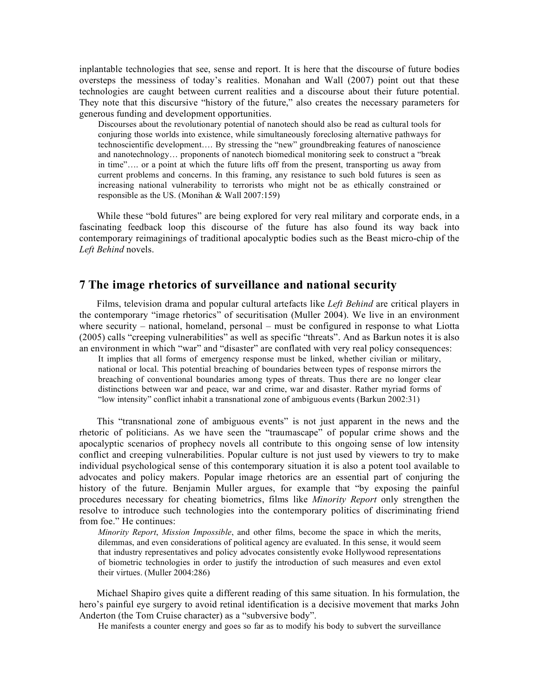inplantable technologies that see, sense and report. It is here that the discourse of future bodies oversteps the messiness of today's realities. Monahan and Wall (2007) point out that these technologies are caught between current realities and a discourse about their future potential. They note that this discursive "history of the future," also creates the necessary parameters for generous funding and development opportunities.

Discourses about the revolutionary potential of nanotech should also be read as cultural tools for conjuring those worlds into existence, while simultaneously foreclosing alternative pathways for technoscientific development…. By stressing the "new" groundbreaking features of nanoscience and nanotechnology… proponents of nanotech biomedical monitoring seek to construct a "break in time"…. or a point at which the future lifts off from the present, transporting us away from current problems and concerns. In this framing, any resistance to such bold futures is seen as increasing national vulnerability to terrorists who might not be as ethically constrained or responsible as the US. (Monihan & Wall 2007:159)

While these "bold futures" are being explored for very real military and corporate ends, in a fascinating feedback loop this discourse of the future has also found its way back into contemporary reimaginings of traditional apocalyptic bodies such as the Beast micro-chip of the *Left Behind* novels.

#### **7 The image rhetorics of surveillance and national security**

Films, television drama and popular cultural artefacts like *Left Behind* are critical players in the contemporary "image rhetorics" of securitisation (Muller 2004). We live in an environment where security – national, homeland, personal – must be configured in response to what Liotta (2005) calls "creeping vulnerabilities" as well as specific "threats". And as Barkun notes it is also an environment in which "war" and "disaster" are conflated with very real policy consequences:

It implies that all forms of emergency response must be linked, whether civilian or military, national or local. This potential breaching of boundaries between types of response mirrors the breaching of conventional boundaries among types of threats. Thus there are no longer clear distinctions between war and peace, war and crime, war and disaster. Rather myriad forms of "low intensity" conflict inhabit a transnational zone of ambiguous events (Barkun 2002:31)

This "transnational zone of ambiguous events" is not just apparent in the news and the rhetoric of politicians. As we have seen the "traumascape" of popular crime shows and the apocalyptic scenarios of prophecy novels all contribute to this ongoing sense of low intensity conflict and creeping vulnerabilities. Popular culture is not just used by viewers to try to make individual psychological sense of this contemporary situation it is also a potent tool available to advocates and policy makers. Popular image rhetorics are an essential part of conjuring the history of the future. Benjamin Muller argues, for example that "by exposing the painful procedures necessary for cheating biometrics, films like *Minority Report* only strengthen the resolve to introduce such technologies into the contemporary politics of discriminating friend from foe." He continues:

*Minority Report*, *Mission Impossible*, and other films, become the space in which the merits, dilemmas, and even considerations of political agency are evaluated. In this sense, it would seem that industry representatives and policy advocates consistently evoke Hollywood representations of biometric technologies in order to justify the introduction of such measures and even extol their virtues. (Muller 2004:286)

Michael Shapiro gives quite a different reading of this same situation. In his formulation, the hero's painful eye surgery to avoid retinal identification is a decisive movement that marks John Anderton (the Tom Cruise character) as a "subversive body".

He manifests a counter energy and goes so far as to modify his body to subvert the surveillance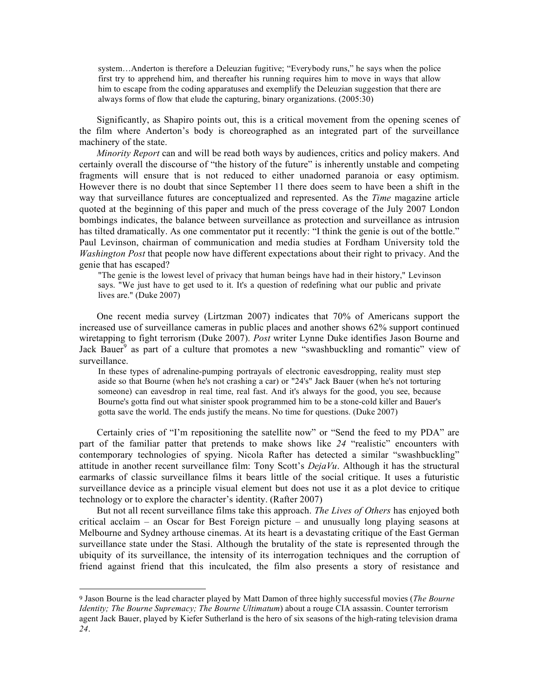system…Anderton is therefore a Deleuzian fugitive; "Everybody runs," he says when the police first try to apprehend him, and thereafter his running requires him to move in ways that allow him to escape from the coding apparatuses and exemplify the Deleuzian suggestion that there are always forms of flow that elude the capturing, binary organizations. (2005:30)

Significantly, as Shapiro points out, this is a critical movement from the opening scenes of the film where Anderton's body is choreographed as an integrated part of the surveillance machinery of the state.

*Minority Report* can and will be read both ways by audiences, critics and policy makers. And certainly overall the discourse of "the history of the future" is inherently unstable and competing fragments will ensure that is not reduced to either unadorned paranoia or easy optimism. However there is no doubt that since September 11 there does seem to have been a shift in the way that surveillance futures are conceptualized and represented. As the *Time* magazine article quoted at the beginning of this paper and much of the press coverage of the July 2007 London bombings indicates, the balance between surveillance as protection and surveillance as intrusion has tilted dramatically. As one commentator put it recently: "I think the genie is out of the bottle." Paul Levinson, chairman of communication and media studies at Fordham University told the *Washington Post* that people now have different expectations about their right to privacy. And the genie that has escaped?

"The genie is the lowest level of privacy that human beings have had in their history," Levinson says. "We just have to get used to it. It's a question of redefining what our public and private lives are." (Duke 2007)

One recent media survey (Lirtzman 2007) indicates that 70% of Americans support the increased use of surveillance cameras in public places and another shows 62% support continued wiretapping to fight terrorism (Duke 2007). *Post* writer Lynne Duke identifies Jason Bourne and Jack Bauer<sup>9</sup> as part of a culture that promotes a new "swashbuckling and romantic" view of surveillance.

In these types of adrenaline-pumping portrayals of electronic eavesdropping, reality must step aside so that Bourne (when he's not crashing a car) or "24's" Jack Bauer (when he's not torturing someone) can eavesdrop in real time, real fast. And it's always for the good, you see, because Bourne's gotta find out what sinister spook programmed him to be a stone-cold killer and Bauer's gotta save the world. The ends justify the means. No time for questions. (Duke 2007)

Certainly cries of "I'm repositioning the satellite now" or "Send the feed to my PDA" are part of the familiar patter that pretends to make shows like *24* "realistic" encounters with contemporary technologies of spying. Nicola Rafter has detected a similar "swashbuckling" attitude in another recent surveillance film: Tony Scott's *DejaVu*. Although it has the structural earmarks of classic surveillance films it bears little of the social critique. It uses a futuristic surveillance device as a principle visual element but does not use it as a plot device to critique technology or to explore the character's identity. (Rafter 2007)

But not all recent surveillance films take this approach. *The Lives of Others* has enjoyed both critical acclaim – an Oscar for Best Foreign picture – and unusually long playing seasons at Melbourne and Sydney arthouse cinemas. At its heart is a devastating critique of the East German surveillance state under the Stasi. Although the brutality of the state is represented through the ubiquity of its surveillance, the intensity of its interrogation techniques and the corruption of friend against friend that this inculcated, the film also presents a story of resistance and

 $\overline{a}$ 

<sup>9</sup> Jason Bourne is the lead character played by Matt Damon of three highly successful movies (*The Bourne Identity; The Bourne Supremacy; The Bourne Ultimatum*) about a rouge CIA assassin. Counter terrorism agent Jack Bauer, played by Kiefer Sutherland is the hero of six seasons of the high-rating television drama *24*.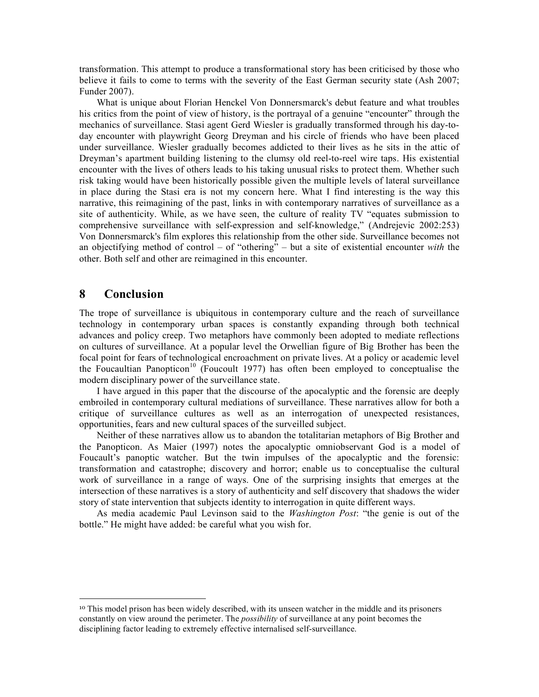transformation. This attempt to produce a transformational story has been criticised by those who believe it fails to come to terms with the severity of the East German security state (Ash 2007; Funder 2007).

What is unique about Florian Henckel Von Donnersmarck's debut feature and what troubles his critics from the point of view of history, is the portrayal of a genuine "encounter" through the mechanics of surveillance. Stasi agent Gerd Wiesler is gradually transformed through his day-today encounter with playwright Georg Dreyman and his circle of friends who have been placed under surveillance. Wiesler gradually becomes addicted to their lives as he sits in the attic of Dreyman's apartment building listening to the clumsy old reel-to-reel wire taps. His existential encounter with the lives of others leads to his taking unusual risks to protect them. Whether such risk taking would have been historically possible given the multiple levels of lateral surveillance in place during the Stasi era is not my concern here. What I find interesting is the way this narrative, this reimagining of the past, links in with contemporary narratives of surveillance as a site of authenticity. While, as we have seen, the culture of reality TV "equates submission to comprehensive surveillance with self-expression and self-knowledge," (Andrejevic 2002:253) Von Donnersmarck's film explores this relationship from the other side. Surveillance becomes not an objectifying method of control – of "othering" – but a site of existential encounter *with* the other. Both self and other are reimagined in this encounter.

#### **8 Conclusion**

 $\overline{a}$ 

The trope of surveillance is ubiquitous in contemporary culture and the reach of surveillance technology in contemporary urban spaces is constantly expanding through both technical advances and policy creep. Two metaphors have commonly been adopted to mediate reflections on cultures of surveillance. At a popular level the Orwellian figure of Big Brother has been the focal point for fears of technological encroachment on private lives. At a policy or academic level the Foucaultian Panopticon<sup>10</sup> (Foucoult 1977) has often been employed to conceptualise the modern disciplinary power of the surveillance state.

I have argued in this paper that the discourse of the apocalyptic and the forensic are deeply embroiled in contemporary cultural mediations of surveillance. These narratives allow for both a critique of surveillance cultures as well as an interrogation of unexpected resistances, opportunities, fears and new cultural spaces of the surveilled subject.

Neither of these narratives allow us to abandon the totalitarian metaphors of Big Brother and the Panopticon. As Maier (1997) notes the apocalyptic omniobservant God is a model of Foucault's panoptic watcher. But the twin impulses of the apocalyptic and the forensic: transformation and catastrophe; discovery and horror; enable us to conceptualise the cultural work of surveillance in a range of ways. One of the surprising insights that emerges at the intersection of these narratives is a story of authenticity and self discovery that shadows the wider story of state intervention that subjects identity to interrogation in quite different ways.

As media academic Paul Levinson said to the *Washington Post*: "the genie is out of the bottle." He might have added: be careful what you wish for.

<sup>10</sup> This model prison has been widely described, with its unseen watcher in the middle and its prisoners constantly on view around the perimeter. The *possibility* of surveillance at any point becomes the disciplining factor leading to extremely effective internalised self-surveillance.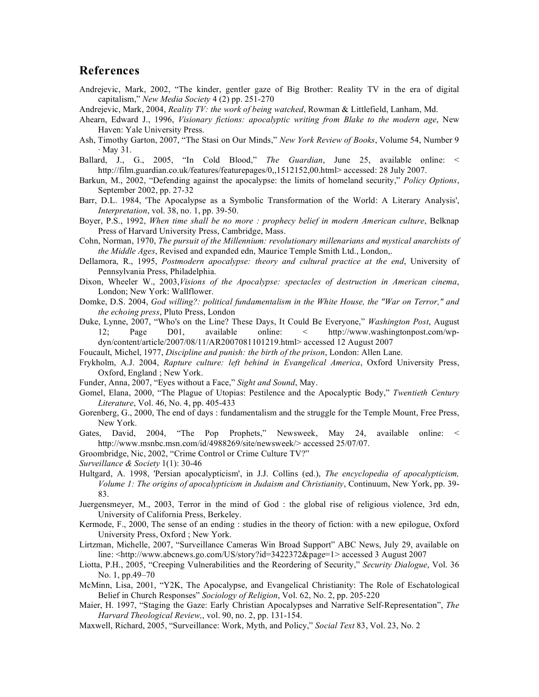#### **References**

- Andrejevic, Mark, 2002, "The kinder, gentler gaze of Big Brother: Reality TV in the era of digital capitalism," *New Media Society* 4 (2) pp. 251-270
- Andrejevic, Mark, 2004, *Reality TV: the work of being watched*, Rowman & Littlefield, Lanham, Md.
- Ahearn, Edward J., 1996, *Visionary fictions: apocalyptic writing from Blake to the modern age*, New Haven: Yale University Press.
- Ash, Timothy Garton, 2007, "The Stasi on Our Minds," *New York Review of Books*, Volume 54, Number 9  $\cdot$  May 31.
- Ballard, J., G., 2005, "In Cold Blood," *The Guardian*, June 25, available online: < http://film.guardian.co.uk/features/featurepages/0,,1512152,00.html> accessed: 28 July 2007.
- Barkun, M., 2002, "Defending against the apocalypse: the limits of homeland security," *Policy Options*, September 2002, pp. 27-32
- Barr, D.L. 1984, 'The Apocalypse as a Symbolic Transformation of the World: A Literary Analysis', *Interpretation*, vol. 38, no. 1, pp. 39-50.
- Boyer, P.S., 1992, *When time shall be no more : prophecy belief in modern American culture*, Belknap Press of Harvard University Press, Cambridge, Mass.
- Cohn, Norman, 1970, *The pursuit of the Millennium: revolutionary millenarians and mystical anarchists of the Middle Ages*, Revised and expanded edn, Maurice Temple Smith Ltd., London,.
- Dellamora, R., 1995, *Postmodern apocalypse: theory and cultural practice at the end*, University of Pennsylvania Press, Philadelphia.
- Dixon, Wheeler W., 2003,*Visions of the Apocalypse: spectacles of destruction in American cinema*, London; New York: Wallflower.
- Domke, D.S. 2004, *God willing?: political fundamentalism in the White House, the "War on Terror," and the echoing press*, Pluto Press, London
- Duke, Lynne, 2007, "Who's on the Line? These Days, It Could Be Everyone," *Washington Post*, August 12; Page D01, available online: < http://www.washingtonpost.com/wpdyn/content/article/2007/08/11/AR2007081101219.html> accessed 12 August 2007
- Foucault, Michel, 1977, *Discipline and punish: the birth of the prison*, London: Allen Lane.
- Frykholm, A.J. 2004, *Rapture culture: left behind in Evangelical America*, Oxford University Press, Oxford, England ; New York.
- Funder, Anna, 2007, "Eyes without a Face," *Sight and Sound*, May.
- Gomel, Elana, 2000, "The Plague of Utopias: Pestilence and the Apocalyptic Body," *Twentieth Century Literature*, Vol. 46, No. 4, pp. 405-433
- Gorenberg, G., 2000, The end of days : fundamentalism and the struggle for the Temple Mount, Free Press, New York.
- Gates, David, 2004, "The Pop Prophets," Newsweek, May 24, available online: < http://www.msnbc.msn.com/id/4988269/site/newsweek/> accessed 25/07/07.
- Groombridge, Nic, 2002, "Crime Control or Crime Culture TV?"
- *Surveillance & Society* 1(1): 30-46
- Hultgard, A. 1998, 'Persian apocalypticism', in J.J. Collins (ed.), *The encyclopedia of apocalypticism, Volume 1: The origins of apocalypticism in Judaism and Christianity*, Continuum, New York, pp. 39- 83.
- Juergensmeyer, M., 2003, Terror in the mind of God : the global rise of religious violence, 3rd edn, University of California Press, Berkeley.
- Kermode, F., 2000, The sense of an ending : studies in the theory of fiction: with a new epilogue, Oxford University Press, Oxford ; New York.
- Lirtzman, Michelle, 2007, "Surveillance Cameras Win Broad Support" ABC News, July 29, available on line: <http://www.abcnews.go.com/US/story?id=3422372&page=1> accessed 3 August 2007
- Liotta, P.H., 2005, "Creeping Vulnerabilities and the Reordering of Security," *Security Dialogue*, Vol. 36 No. 1, pp.49–70
- McMinn, Lisa, 2001, "Y2K, The Apocalypse, and Evangelical Christianity: The Role of Eschatological Belief in Church Responses" *Sociology of Religion*, Vol. 62, No. 2, pp. 205-220
- Maier, H. 1997, "Staging the Gaze: Early Christian Apocalypses and Narrative Self-Representation", *The Harvard Theological Review,*, vol. 90, no. 2, pp. 131-154.
- Maxwell, Richard, 2005, "Surveillance: Work, Myth, and Policy," *Social Text* 83, Vol. 23, No. 2